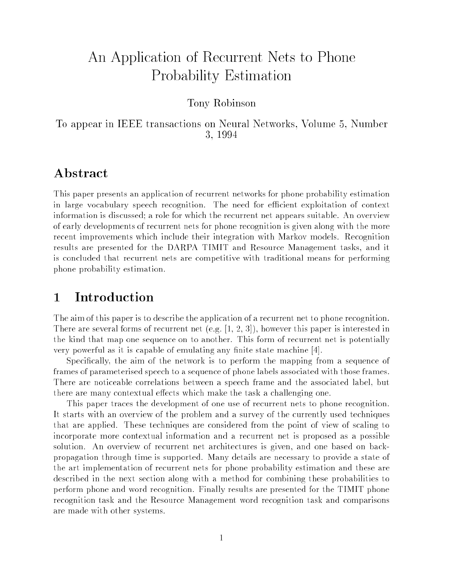# An Application of Recurrent Nets to Phone Probability Estimation

Tony Robinson

To appear in IEEE transactions on Neural Networks, Volume 5, Number 3, <sup>1994</sup>

# Abstract

This paper presents an application of recurrent networks for phone probability estimation in large vocabulary speech recognition. The need for efficient exploitation of context information is discussed; a role for which the recurrent net appears suitable. An overview of early developments of recurrent nets for phone recognition is given along with the more recent improvements which include their integration with Markov models. Recognition results are presented for the DARPA TIMIT and Resource Management tasks, and it is concluded that recurrent nets are competitive with traditional means for performing phone probability estimation.

#### **Introduction**  $\mathbf 1$

The aim of this paper is to describe the application of a recurrent net to phone recognition. There are several forms of recurrent net (e.g. [1, 2, 3]), however this paper is interested in the kind that map one sequence on to another. This form of recurrent net is potentially very powerful as it is capable of emulating any finite state machine [4].

Specifically, the aim of the network is to perform the mapping from a sequence of frames of parameterised speech to a sequence of phone labels associated with those frames. There are noticeable correlations between a speech frame and the associated label, but there are many contextual effects which make the task a challenging one.

This paper traces the development of one use of recurrent nets to phone recognition. It starts with an overview of the problem and a survey of the currently used techniques that are applied. These techniques are considered from the point of view of scaling to incorporate more contextual information and a recurrent net is proposed as a possible solution. An overview of recurrent net architectures is given, and one based on backpropagation through time is supported. Many details are necessary to provide a state of the art implementation of recurrent nets for phone probability estimation and these are described in the next section along with a method for combining these probabilities to perform phone and word recognition. Finally results are presented for the TIMIT phone recognition task and the Resource Management word recognition task and comparisons are made with other systems.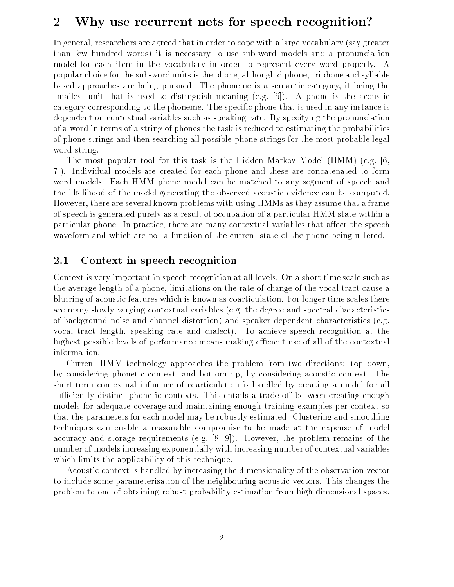#### $\overline{2}$ 2 Why use recurrent nets for speech recognition?

In general, researchers are agreed that in order to cope with a large vocabulary (say greater than few hundred words) it is necessary to use sub-word models and a pronunciation model for each item in the vocabulary in order to represent every word properly. A popular choice for the sub-word units is the phone, although diphone, triphone and syllable based approaches are being pursued. The phoneme is a semantic category, it being the smallest unit that is used to distinguish meaning (e.g. [5]). A phone is the acoustic category corresponding to the phoneme. The specific phone that is used in any instance is dependent on contextual variables such as speaking rate. By specifying the pronunciation of a word in terms of a string of phones the task is reduced to estimating the probabilities of phone strings and then searching all possible phone strings for the most probable legal word string.

The most popular tool for this task is the Hidden Markov Model (HMM) (e.g. [6, 7]). Individual models are created for each phone and these are concatenated to form word models. Each HMM phone model can be matched to any segment of speech and the likelihood of the model generating the observed acoustic evidence can be computed. However, there are several known problems with using HMMs as they assume that a frame of speech is generated purely as a result of occupation of a particular HMM state within a particular phone. In practice, there are many contextual variables that affect the speech waveform and which are not a function of the current state of the phone being uttered.

#### 2.1 Context in speech recognition

Context is very important in speech recognition at all levels. On a short time scale such as the average length of a phone, limitations on the rate of change of the vocal tract cause a blurring of acoustic features which is known as coarticulation. For longer time scales there are many slowly varying contextual variables (e.g. the degree and spectral characteristics of background noise and channel distortion) and speaker dependent characteristics (e.g. vocal tract length, speaking rate and dialect). To achieve speech recognition at the highest possible levels of performance means making efficient use of all of the contextual information.

Current HMM technology approaches the problem from two directions: top down, by considering phonetic context; and bottom up, by considering acoustic context. The short-term contextual influence of coarticulation is handled by creating a model for all sufficiently distinct phonetic contexts. This entails a trade off between creating enough models for adequate coverage and maintaining enough training examples per context so that the parameters for each model may be robustly estimated. Clustering and smoothing techniques can enable a reasonable compromise to be made at the expense of model accuracy and storage requirements (e.g. [8, 9]). However, the problem remains of the number of models increasing exponentially with increasing number of contextual variables which limits the applicability of this technique.

Acoustic context is handled by increasing the dimensionality of the observation vector to include some parameterisation of the neighbouring acoustic vectors. This changes the problem to one of obtaining robust probability estimation from high dimensional spaces.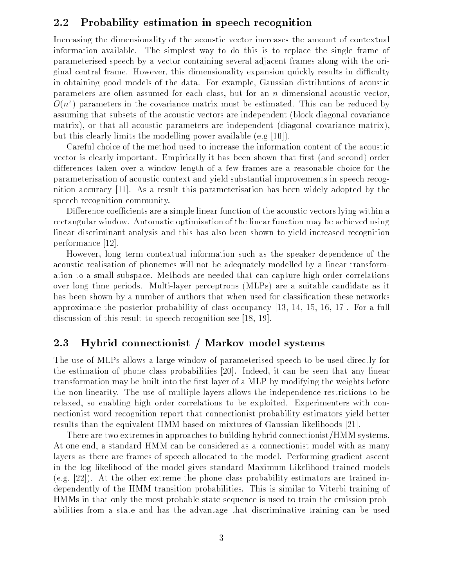### 2.2 Probability estimation in speech recognition

Increasing the dimensionality of the acoustic vector increases the amount of contextual information available. The simplest way to do this is to replace the single frame of parameterised speech by a vector containing several adjacent frames along with the original central frame. However, this dimensionality expansion quickly results in difficulty in obtaining good models of the data. For example, Gaussian distributions of acoustic parameters are often assumed for each class, but for an  $n$  dimensional acoustic vector,  $O(n^2)$  parameters in the covariance matrix must be estimated. This can be reduced by assuming that subsets of the acoustic vectors are independent (block diagonal covariance matrix), or that all acoustic parameters are independent (diagonal covariance matrix), but this clearly limits the modelling power available (e.g [10]).

Careful choice of the method used to increase the information content of the acoustic vector is clearly important. Empirically it has been shown that first (and second) order differences taken over a window length of a few frames are a reasonable choice for the parameterisation of acoustic context and yield substantial improvements in speech recognition accuracy [11]. As a result this parameterisation has been widely adopted by the speech recognition community.

Difference coefficients are a simple linear function of the acoustic vectors lying within a rectangular window. Automatic optimisation of the linear function may be achieved using linear discriminant analysis and this has also been shown to yield increased recognition performance [12].

However, long term contextual information such as the speaker dependence of the acoustic realisation of phonemes will not be adequately modelled by a linear transformation to a small subspace. Methods are needed that can capture high order correlations over long time periods. Multi-layer perceptrons (MLPs) are a suitable candidate as it has been shown by a number of authors that when used for classification these networks approximate the posterior probability of class occupancy [13, 14, 15, 16, 17]. For a full discussion of this result to speech recognition see [18, 19].

### 2.3 Hybrid connectionist / Markov model systems

The use of MLPs allows a large window of parameterised speech to be used directly for the estimation of phone class probabilities [20]. Indeed, it can be seen that any linear transformation may be built into the first layer of a MLP by modifying the weights before the non-linearity. The use of multiple layers allows the independence restrictions to be relaxed, so enabling high order correlations to be exploited. Experimenters with connectionist word recognition report that connectionist probability estimators yield better results than the equivalent HMM based on mixtures of Gaussian likelihoods [21].

There are two extremes in approaches to building hybrid connectionist/HMM systems. At one end, a standard HMM can be considered as a connectionist model with as many layers as there are frames of speech allocated to the model. Performing gradient ascent in the log likelihood of the model gives standard Maximum Likelihood trained models (e.g. [22]). At the other extreme the phone class probability estimators are trained independently of the HMM transition probabilities. This is similar to Viterbi training of HMMs in that only the most probable state sequence is used to train the emission probabilities from a state and has the advantage that discriminative training can be used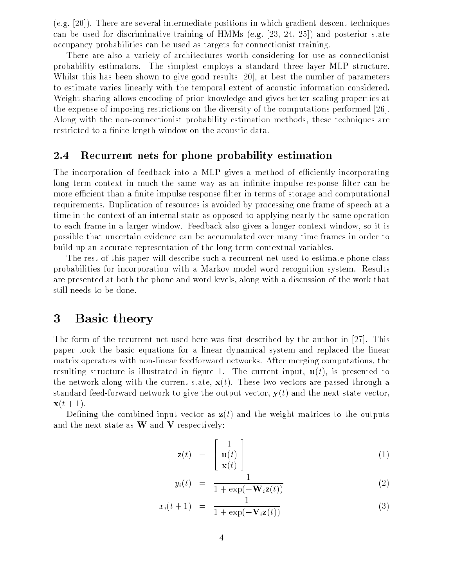(e.g. [20]). There are several intermediate positions in which gradient descent techniques can be used for discriminative training of HMMs (e.g. [23, 24, 25]) and posterior state occupancy probabilities can be used as targets for connectionist training.

There are also a variety of architectures worth considering for use as connectionist probability estimators. The simplest employs a standard three layer MLP structure. Whilst this has been shown to give good results [20], at best the number of parameters to estimate varies linearly with the temporal extent of acoustic information considered. Weight sharing allows encoding of prior knowledge and gives better scaling properties at the expense of imposing restrictions on the diversity of the computations performed [26]. Along with the non-connectionist probability estimation methods, these techniques are restricted to a finite length window on the acoustic data.

#### 2.4 Recurrent nets for phone probability estimation

The incorporation of feedback into a MLP gives a method of efficiently incorporating long term context in much the same way as an infinite impulse response filter can be more efficient than a finite impulse response filter in terms of storage and computational requirements. Duplication of resources is avoided by processing one frame of speech at a time in the context of an internal state as opposed to applying nearly the same operation to each frame in a larger window. Feedback also gives a longer context window, so it is possible that uncertain evidence can be accumulated over many time frames in order to build up an accurate representation of the long term contextual variables.

The rest of this paper will describe such a recurrent net used to estimate phone class probabilities for incorporation with a Markov model word recognition system. Results are presented at both the phone and word levels, along with a discussion of the work that still needs to be done.

#### 3 Basic theory

The form of the recurrent net used here was first described by the author in  $[27]$ . This paper took the basic equations for a linear dynamical system and replaced the linear matrix operators with non-linear feedforward networks. After merging computations, the resulting structure is illustrated in figure 1. The current input,  $\mathbf{u}(t)$ , is presented to the network along with the current state,  $x(t)$ . These two vectors are passed through a standard feed-forward network to give the output vector,  $y(t)$  and the next state vector,  $\mathbf{x}(t+1)$ .

Defining the combined input vector as  $z(t)$  and the weight matrices to the outputs and the next state as  $W$  and  $V$  respectively:

$$
\mathbf{z}(t) = \begin{bmatrix} 1 \\ \mathbf{u}(t) \\ \mathbf{x}(t) \end{bmatrix} \tag{1}
$$

$$
y_i(t) = \frac{1}{1 + \exp(-\mathbf{W}_i \mathbf{z}(t))}
$$
(2)

$$
x_i(t+1) = \frac{1}{1 + \exp(-\mathbf{V}_i \mathbf{z}(t))}
$$
(3)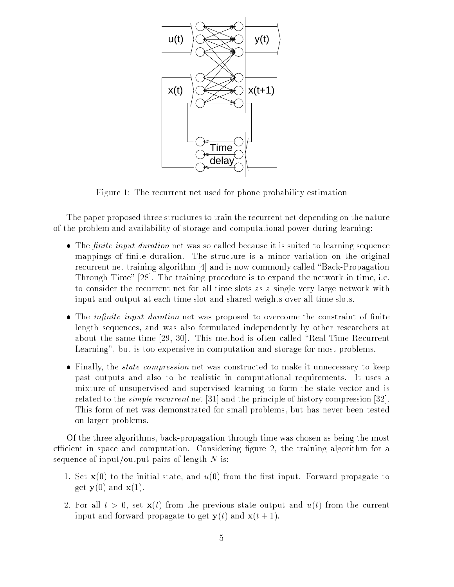

Figure 1: The recurrent net used for phone probability estimation

The paper proposed three structures to train the recurrent net depending on the nature of the problem and availability of storage and computational power during learning:

- $\bullet$  The *finite input duration* net was so called because it is suited to learning sequence mappings of finite duration. The structure is a minor variation on the original recurrent net training algorithm [4] and is now commonly called "Back-Propagation Through Time" [28]. The training procedure is to expand the network in time, i.e. to consider the recurrent net for all time slots as a single very large network with input and output at each time slot and shared weights over all time slots.
- $\bullet$  The *infinite input duration* net was proposed to overcome the constraint of finite length sequences, and was also formulated independently by other researchers at about the same time  $[29, 30]$ . This method is often called "Real-Time Recurrent Learning", but is too expensive in computation and storage for most problems.
- Finally, the *state compression* net was constructed to make it unnecessary to keep past outputs and also to be realistic in computational requirements. It uses a mixture of unsupervised and supervised learning to form the state vector and is related to the simple recurrent net [31] and the principle of history compression [32]. This form of net was demonstrated for small problems, but has never been tested on larger problems.

Of the three algorithms, back-propagation through time was chosen as being the most efficient in space and computation. Considering figure 2, the training algorithm for a sequence of input/output pairs of length  $N$  is:

- 1. Set  $\mathbf{x}(0)$  to the initial state, and  $u(0)$  from the first input. Forward propagate to get  $y(0)$  and  $x(1)$ .
- 2. For all  $t > 0$ , set  $\mathbf{x}(t)$  from the previous state output and  $u(t)$  from the current input and forward propagate to get  $y(t)$  and  $x(t + 1)$ .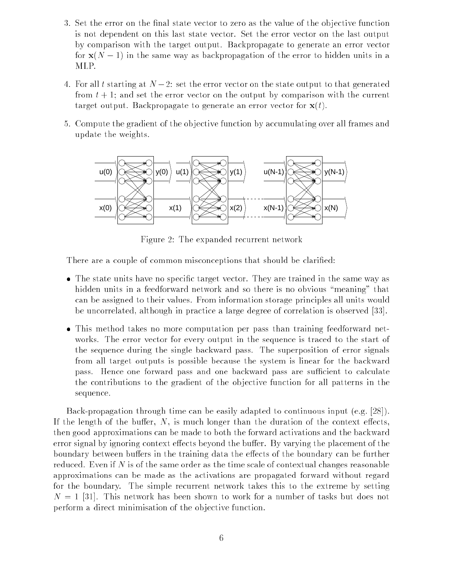- 3. Set the error on the final state vector to zero as the value of the objective function is not dependent on this last state vector. Set the error vector on the last output by comparison with the target output. Backpropagate to generate an error vector for  $\mathbf{x}(N-1)$  in the same way as backpropagation of the error to hidden units in a MLP.
- 4. For all t starting at  $N-2$ : set the error vector on the state output to that generated from  $t + 1$ ; and set the error vector on the output by comparison with the current target output. Backpropagate to generate an error vector for  $\mathbf{x}(t)$ .
- 5. Compute the gradient of the ob jective function by accumulating over all frames and update the weights.



Figure 2: The expanded recurrent network

There are a couple of common misconceptions that should be clarified:

- The state units have no specific target vector. They are trained in the same way as hidden units in a feedforward network and so there is no obvious "meaning" that can be assigned to their values. From information storage principles all units would be uncorrelated, although in practice a large degree of correlation is observed [33].
- This method takes no more computation per pass than training feedforward networks. The error vector for every output in the sequence is traced to the start of the sequence during the single backward pass. The superposition of error signals from all target outputs is possible because the system is linear for the backward pass. Hence one forward pass and one backward pass are sufficient to calculate the contributions to the gradient of the objective function for all patterns in the sequence.

Back-propagation through time can be easily adapted to continuous input (e.g. [28]). If the length of the buffer,  $N$ , is much longer than the duration of the context effects, then good approximations can be made to both the forward activations and the backward error signal by ignoring context effects beyond the buffer. By varying the placement of the boundary between buffers in the training data the effects of the boundary can be further reduced. Even if  $N$  is of the same order as the time scale of contextual changes reasonable approximations can be made as the activations are propagated forward without regard for the boundary. The simple recurrent network takes this to the extreme by setting  $N = 1$  [31]. This network has been shown to work for a number of tasks but does not perform a direct minimisation of the objective function.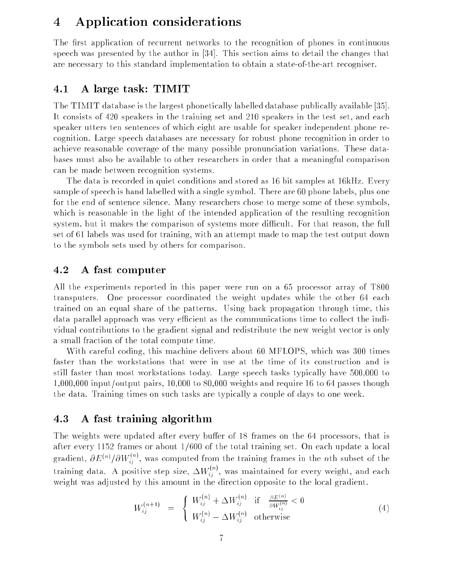# 4 Application considerations

The first application of recurrent networks to the recognition of phones in continuous speech was presented by the author in [34]. This section aims to detail the changes that are necessary to this standard implementation to obtain a state-of-the-art recogniser.

## 4.1 A large task: TIMIT

The TIMIT database is the largest phonetically labelled database publically available [35]. It consists of 420 speakers in the training set and 210 speakers in the test set, and each speaker utters ten sentences of which eight are usable for speaker independent phone recognition. Large speech databases are necessary for robust phone recognition in order to achieve reasonable coverage of the many possible pronunciation variations. These databases must also be available to other researchers in order that a meaningful comparison can be made between recognition systems.

The data is recorded in quiet conditions and stored as 16 bit samples at 16kHz. Every sample of speech is hand labelled with a single symbol. There are 60 phone labels, plus one for the end of sentence silence. Many researchers chose to merge some of these symbols, which is reasonable in the light of the intended application of the resulting recognition system, but it makes the comparison of systems more difficult. For that reason, the full set of 61 labels was used for training, with an attempt made to map the test output down to the symbols sets used by others for comparison.

### 4.2 A fast computer

All the experiments reported in this paper were run on a 65 processor array of T800 transputers. One processor coordinated the weight updates while the other 64 each trained on an equal share of the patterns. Using back propagation through time, this data parallel approach was very efficient as the communications time to collect the individual contributions to the gradient signal and redistribute the new weight vector is only a small fraction of the total compute time.

With careful coding, this machine delivers about 60 MFLOPS, which was 300 times faster than the workstations that were in use at the time of its construction and is still faster than most workstations today. Large speech tasks typically have 500,000 to 1,000,000 input/output pairs, 10,000 to 80,000 weights and require 16 to 64 passes though the data. Training times on such tasks are typically a couple of days to one week.

### 4.3 A fast training algorithm

The weights were updated after every buffer of 18 frames on the 64 processors, that is after every 1152 frames or about  $1/600$  of the total training set. On each update a local gradient,  $\partial E^{(n)}/\partial W_{ij}^{(n)}$ , was computed from the training frames in the nth subset of the training data. A positive step size,  $\Delta W_{ii}^{\rm (m')}$ , was maintained for every weight, and each weight was adjusted by this amount in the direction opposite to the local gradient.

$$
W_{ij}^{(n+1)} = \begin{cases} W_{ij}^{(n)} + \Delta W_{ij}^{(n)} & \text{if } \frac{\partial E^{(n)}}{\partial W_{ij}^{(n)}} < 0\\ W_{ij}^{(n)} - \Delta W_{ij}^{(n)} & \text{otherwise} \end{cases}
$$
(4)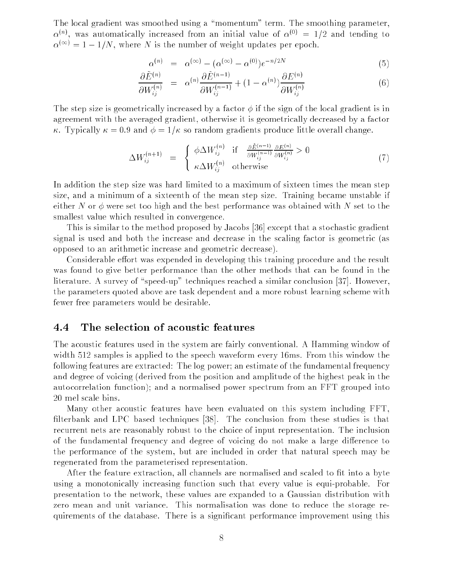The local gradient was smoothed using a "momentum" term. The smoothing parameter,  $\alpha^{_{\vee\vee}},$  was automatically increased from an initial value of  $\alpha^{_{\vee\vee}}=1/2$  and tending to  $\alpha^{(\infty)} = 1 - 1/N$ , where N is the number of weight updates per epoch.

$$
\alpha^{(n)} = \alpha^{(\infty)} - (\alpha^{(\infty)} - \alpha^{(0)})e^{-n/2N} \tag{5}
$$

 $\cdot$  .

$$
\frac{\partial \tilde{E}^{(n)}}{\partial W_{ij}^{(n)}} = \alpha^{(n)} \frac{\partial \tilde{E}^{(n-1)}}{\partial W_{ij}^{(n-1)}} + (1 - \alpha^{(n)}) \frac{\partial E^{(n)}}{\partial W_{ij}^{(n)}}
$$
(6)

The step size is geometrically increased by a factor  $\phi$  if the sign of the local gradient is in agreement with the averaged gradient, otherwise it is geometrically decreased by a factor  $\kappa$ . Typically  $\kappa = 0.9$  and  $\phi = 1/\kappa$  so random gradients produce little overall change.

$$
\Delta W_{ij}^{(n+1)} = \begin{cases} \phi \Delta W_{ij}^{(n)} & \text{if } \frac{\partial \tilde{E}^{(n-1)}}{\partial W_{ij}^{(n-1)}} \frac{\partial E^{(n)}}{\partial W_{ij}^{(n)}} > 0\\ \kappa \Delta W_{ij}^{(n)} & \text{otherwise} \end{cases}
$$
(7)

In addition the step size was hard limited to a maximum of sixteen times the mean step size, and a minimum of a sixteenth of the mean step size. Training became unstable if either N or  $\phi$  were set too high and the best performance was obtained with N set to the smallest value which resulted in convergence.

This is similar to the method proposed by Jacobs [36] except that a stochastic gradient signal is used and both the increase and decrease in the scaling factor is geometric (as opposed to an arithmetic increase and geometric decrease).

Considerable effort was expended in developing this training procedure and the result was found to give better performance than the other methods that can be found in the literature. A survey of "speed-up" techniques reached a similar conclusion  $[37]$ . However, the parameters quoted above are task dependent and a more robust learning scheme with fewer free parameters would be desirable.

### 4.4 The selection of acoustic features

 $\sim$ 

The acoustic features used in the system are fairly conventional. A Hamming window of width 512 samples is applied to the speech waveform every 16ms. From this window the following features are extracted: The log power; an estimate of the fundamental frequency and degree of voicing (derived from the position and amplitude of the highest peak in the autocorrelation function); and a normalised power spectrum from an FFT grouped into 20 mel scale bins.

Many other acoustic features have been evaluated on this system including FFT, filterbank and LPC based techniques [38]. The conclusion from these studies is that recurrent nets are reasonably robust to the choice of input representation. The inclusion of the fundamental frequency and degree of voicing do not make a large difference to the performance of the system, but are included in order that natural speech may be regenerated from the parameterised representation.

After the feature extraction, all channels are normalised and scaled to fit into a byte using a monotonically increasing function such that every value is equi-probable. For presentation to the network, these values are expanded to a Gaussian distribution with zero mean and unit variance. This normalisation was done to reduce the storage requirements of the database. There is a signicant performance improvement using this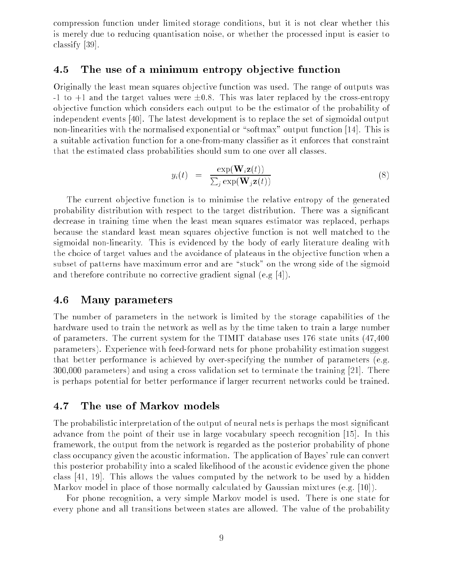compression function under limited storage conditions, but it is not clear whether this is merely due to reducing quantisation noise, or whether the processed input is easier to classify [39].

#### 4.5 The use of a minimum entropy ob jective function

Originally the least mean squares ob jective function was used. The range of outputs was -1 to +1 and the target values were  $\pm 0.8$ . This was later replaced by the cross-entropy ob jective function which considers each output to be the estimator of the probability of independent events [40]. The latest development is to replace the set of sigmoidal output non-linearities with the normalised exponential or "softmax" output function  $[14]$ . This is a suitable activation function for a one-from-many classier as it enforces that constraint that the estimated class probabilities should sum to one over all classes.

$$
y_i(t) = \frac{\exp(\mathbf{W}_i \mathbf{z}(t))}{\sum_j \exp(\mathbf{W}_j \mathbf{z}(t))}
$$
(8)

The current objective function is to minimise the relative entropy of the generated probability distribution with respect to the target distribution. There was a signicant decrease in training time when the least mean squares estimator was replaced, perhaps because the standard least mean squares ob jective function is not well matched to the sigmoidal non-linearity. This is evidenced by the body of early literature dealing with the choice of target values and the avoidance of plateaus in the objective function when a subset of patterns have maximum error and are "stuck" on the wrong side of the sigmoid and therefore contribute no corrective gradient signal (e.g [4]).

#### 4.6 Many parameters

The number of parameters in the network is limited by the storage capabilities of the hardware used to train the network as well as by the time taken to train a large number of parameters. The current system for the TIMIT database uses 176 state units (47,400 parameters). Experience with feed-forward nets for phone probability estimation suggest that better performance is achieved by over-specifying the number of parameters (e.g. 300,000 parameters) and using a cross validation set to terminate the training [21]. There is perhaps potential for better performance if larger recurrent networks could be trained.

#### 4.7 The use of Markov models

The probabilistic interpretation of the output of neural nets is perhaps the most signicant advance from the point of their use in large vocabulary speech recognition [15]. In this framework, the output from the network is regarded as the posterior probability of phone class occupancy given the acoustic information. The application of Bayes' rule can convert this posterior probability into a scaled likelihood of the acoustic evidence given the phone class [41, 19]. This allows the values computed by the network to be used by a hidden Markov model in place of those normally calculated by Gaussian mixtures (e.g. [10]).

For phone recognition, a very simple Markov model is used. There is one state for every phone and all transitions between states are allowed. The value of the probability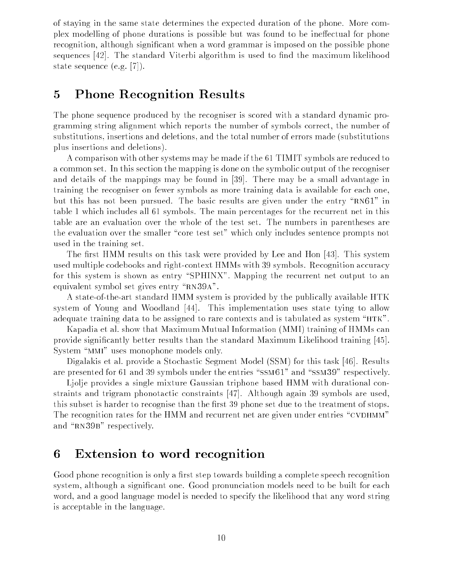of staying in the same state determines the expected duration of the phone. More complex modelling of phone durations is possible but was found to be ineffectual for phone recognition, although signicant when a word grammar is imposed on the possible phone sequences  $[42]$ . The standard Viterbi algorithm is used to find the maximum likelihood state sequence (e.g. [7]).

# 5 Phone Recognition Results

The phone sequence produced by the recogniser is scored with a standard dynamic programming string alignment which reports the number of symbols correct, the number of substitutions, insertions and deletions, and the total number of errors made (substitutions plus insertions and deletions).

A comparison with other systems may be made if the 61 TIMIT symbols are reduced to a common set. In this section the mapping is done on the symbolic output of the recogniser and details of the mappings may be found in [39]. There may be a small advantage in training the recogniser on fewer symbols as more training data is available for each one, but this has not been pursued. The basic results are given under the entry " $R\sim61$ " in table 1 which includes all 61 symbols. The main percentages for the recurrent net in this table are an evaluation over the whole of the test set. The numbers in parentheses are the evaluation over the smaller "core test set" which only includes sentence prompts not used in the training set.

The first HMM results on this task were provided by Lee and Hon [43]. This system used multiple codebooks and right-context HMMs with 39 symbols. Recognition accuracy for this system is shown as entry "SPHINX". Mapping the recurrent net output to an equivalent symbol set gives entry " $RN39A"$ .

A state-of-the-art standard HMM system is provided by the publically available HTK system of Young and Woodland [44]. This implementation uses state tying to allow adequate training data to be assigned to rare contexts and is tabulated as system "HTK".

Kapadia et al. show that Maximum Mutual Information (MMI) training of HMMs can provide signicantly better results than the standard Maximum Likelihood training [45]. System "MMI" uses monophone models only.

Digalakis et al. provide a Stochastic Segment Model (SSM) for this task [46]. Results are presented for 61 and 39 symbols under the entries " $\text{SSM61}$ " and " $\text{SSM39}$ " respectively.

Ljolje provides a single mixture Gaussian triphone based HMM with durational constraints and trigram phonotactic constraints [47]. Although again 39 symbols are used, this subset is harder to recognise than the first 39 phone set due to the treatment of stops. The recognition rates for the HMM and recurrent net are given under entries "CVDHMM" and "RN39B" respectively.

# 6 Extension to word recognition

Good phone recognition is only a first step towards building a complete speech recognition system, although a significant one. Good pronunciation models need to be built for each word, and a good language model is needed to specify the likelihood that any word string is acceptable in the language.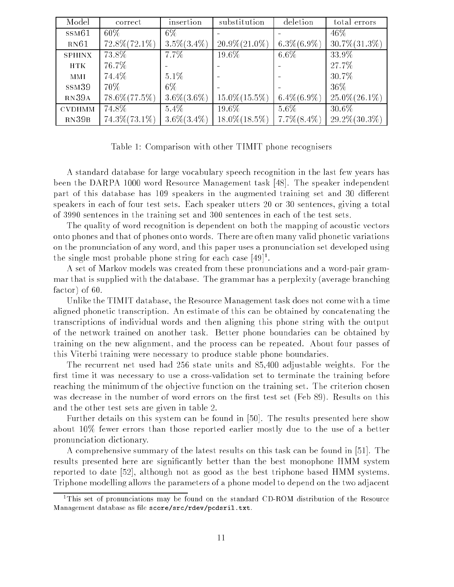| Model         | correct          | insertion      | substitution      | deletion          | total errors     |
|---------------|------------------|----------------|-------------------|-------------------|------------------|
| SSM61         | 60\%             | 6\%            |                   |                   | $46\%$           |
| RN61          | $72.8\%(72.1\%)$ | $3.5\%(3.4\%)$ | $20.9\%(21.0\%)$  | $6.3\%(6.9\%)$    | $30.7\%(31.3\%)$ |
| <b>SPHINX</b> | 73.8%            | 7.7%           | 19.6%             | $6.6\%$           | 33.9%            |
| <b>HTK</b>    | 76.7%            |                |                   |                   | 27.7%            |
| <b>MMI</b>    | 74.4%            | $5.1\%$        |                   |                   | 30.7%            |
| SSM39         | 70%              | 6\%            |                   |                   | 36\%             |
| RN39A         | 78.6% (77.5%)    | $3.6\%(3.6\%)$ | $15.0\% (15.5\%)$ | $6.4\%(6.9\%)$    | $25.0\%(26.1\%)$ |
| <b>CVDHMM</b> | 74.8%            | $5.4\%$        | 19.6%             | $5.6\%$           | 30.6%            |
| RN39B         | $74.3\%(73.1\%)$ | $3.6\%(3.4\%)$ | $18.0\% (18.5\%)$ | $7.7\%$ $(8.4\%)$ | $29.2\%(30.3\%)$ |

Table 1: Comparison with other TIMIT phone recognisers

A standard database for large vocabulary speech recognition in the last few years has been the DARPA 1000 word Resource Management task [48]. The speaker independent part of this database has 109 speakers in the augmented training set and 30 different speakers in each of four test sets. Each speaker utters 20 or 30 sentences, giving a total of 3990 sentences in the training set and 300 sentences in each of the test sets.

The quality of word recognition is dependent on both the mapping of acoustic vectors onto phones and that of phones onto words. There are often many valid phonetic variations on the pronunciation of any word, and this paper uses a pronunciation set developed using the single most probable phone string for each case  $[49]$ .

A set of Markov models was created from these pronunciations and a word-pair grammar that is supplied with the database. The grammar has a perplexity (average branching factor) of 60.

Unlike the TIMIT database, the Resource Management task does not come with a time aligned phonetic transcription. An estimate of this can be obtained by concatenating the transcriptions of individual words and then aligning this phone string with the output of the network trained on another task. Better phone boundaries can be obtained by training on the new alignment, and the process can be repeated. About four passes of this Viterbi training were necessary to produce stable phone boundaries.

The recurrent net used had 256 state units and 85,400 adjustable weights. For the first time it was necessary to use a cross-validation set to terminate the training before reaching the minimum of the objective function on the training set. The criterion chosen was decrease in the number of word errors on the first test set (Feb 89). Results on this and the other test sets are given in table 2.

Further details on this system can be found in [50]. The results presented here show about 10% fewer errors than those reported earlier mostly due to the use of a better pronunciation dictionary.

A comprehensive summary of the latest results on this task can be found in [51]. The results presented here are signicantly better than the best monophone HMM system reported to date [52], although not as good as the best triphone based HMM systems. Triphone modelling allows the parameters of a phone model to depend on the two adjacent

 $^\circ$  1 nis set of pronunciations may be found on the standard CD-ROM distribution of the Resource management as as as as as a second resource as a second part of the second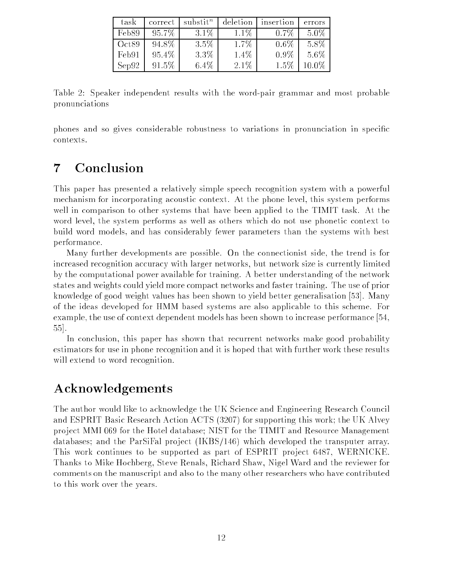| task              | correct  | substit <sup>n</sup> | deletion | insertion | errors   |
|-------------------|----------|----------------------|----------|-----------|----------|
| Feb89             | 95.7%    | $3.1\%$              | $1.1\%$  | $0.7\%$   | $5.0\%$  |
| Oct <sub>89</sub> | 94.8%    | $3.5\%$              | $1.7\%$  | $0.6\%$   | 5.8%     |
| Feb91             | 95.4\%   | 3.3%                 | 1.4%     | $0.9\%$   | $5.6\%$  |
| Sep92             | $91.5\%$ | $6.4\%$              | 2.1%     | $1.5\%$   | $10.0\%$ |

Table 2: Speaker independent results with the word-pair grammar and most probable pronunciations

phones and so gives considerable robustness to variations in pronunciation in specific contexts.

#### $\overline{7}$ Conclusion

This paper has presented a relatively simple speech recognition system with a powerful mechanism for incorporating acoustic context. At the phone level, this system performs well in comparison to other systems that have been applied to the TIMIT task. At the word level, the system performs as well as others which do not use phonetic context to build word models, and has considerably fewer parameters than the systems with best performance.

Many further developments are possible. On the connectionist side, the trend is for increased recognition accuracy with larger networks, but network size is currently limited by the computational power available for training. A better understanding of the network states and weights could yield more compact networks and faster training. The use of prior knowledge of good weight values has been shown to yield better generalisation [53]. Many of the ideas developed for HMM based systems are also applicable to this scheme. For example, the use of context dependent models has been shown to increase performance [54, 55].

In conclusion, this paper has shown that recurrent networks make good probability estimators for use in phone recognition and it is hoped that with further work these results will extend to word recognition.

# Acknowledgements

The author would like to acknowledge the UK Science and Engineering Research Council and ESPRIT Basic Research Action ACTS (3207) for supporting this work; the UK Alvey pro ject MMI 069 for the Hotel database; NIST for the TIMIT and Resource Management databases; and the ParSiFal project  $(IKBS/146)$  which developed the transputer array. This work continues to be supported as part of ESPRIT project 6487, WERNICKE. Thanks to Mike Hochberg, Steve Renals, Richard Shaw, Nigel Ward and the reviewer for comments on the manuscript and also to the many other researchers who have contributed to this work over the years.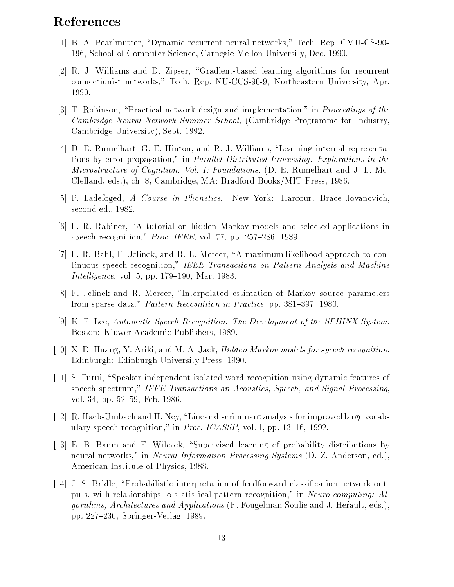# References

- [1] B. A. Pearlmutter, "Dynamic recurrent neural networks," Tech. Rep. CMU-CS-90-196, School of Computer Science, Carnegie-Mellon University, Dec. 1990.
- [2] R. J. Williams and D. Zipser, "Gradient-based learning algorithms for recurrent connectionist networks," Tech. Rep. NU-CCS-90-9, Northeastern University, Apr.
- [3] T. Robinson, "Practical network design and implementation," in Proceedings of the Cambridge Neural Network Summer School, (Cambridge Programme for Industry, Cambridge University), Sept. 1992.
- [4] D. E. Rumelhart, G. E. Hinton, and R. J. Williams, "Learning internal representations by error propagation," in Parallel Distributed Processing: Explorations in the Microstructure of Cognition. Vol. I: Foundations. (D. E. Rumelhart and J. L. Mc-Clelland, eds.), ch. 8, Cambridge, MA: Bradford Books/MIT Press, 1986.
- [5] P. Ladefoged, A Course in Phonetics. New York: Harcourt Brace Jovanovich, second ed., 1982.
- [6] L. R. Rabiner, \A tutorial on hidden Markov models and selected applications in speech recognition," *Proc. IEEE*, vol. 77, pp. 257-286, 1989.
- [7] L. R. Bahl, F. Jelinek, and R. L. Mercer, "A maximum likelihood approach to continuous speech recognition," IEEE Transactions on Pattern Analysis and Machine Intelligence, vol. 5, pp. 179–190, Mar. 1983.
- [8] F. Jelinek and R. Mercer, "Interpolated estimation of Markov source parameters from sparse data," *Pattern Recognition in Practice*, pp. 381–397, 1980.
- [9] K.-F. Lee, Automatic Speech Recognition: The Development of the SPHINX System. Boston: Kluwer Academic Publishers, 1989.
- [10] X. D. Huang, Y. Ariki, and M. A. Jack, Hidden Markov models for speech recognition. Edinburgh: Edinburgh University Press, 1990.
- $[11]$  S. Furui, "Speaker-independent isolated word recognition using dynamic features of speech spectrum," IEEE Transactions on Acoustics, Speech, and Signal Processing, vol. 34, pp. 52–59, Feb. 1986.
- $[12]$  R. Haeb-Umbach and H. Ney, "Linear discriminant analysis for improved large vocabulary speech recognition," in *Proc. ICASSP*, vol. I, pp. 13-16, 1992.
- [13] E. B. Baum and F. Wilczek, "Supervised learning of probability distributions by neural networks," in *Neural Information Processing Systems* (D. Z. Anderson, ed.), American Institute of Physics, 1988.
- [14] J. S. Bridle, "Probabilistic interpretation of feedforward classification network outputs, with relationships to statistical pattern recognition," in Neuro-computing: Algorithms, Architectures and Applications (F. Fougelman-Soulie and J. Herault, eds.), pp. 227-236, Springer-Verlag, 1989.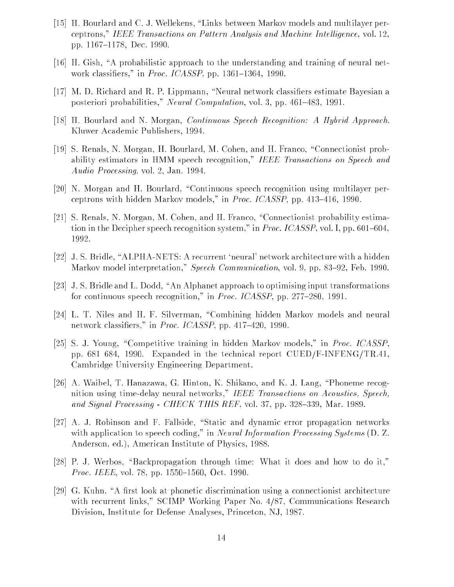- [15] H. Bourlard and C. J. Wellekens, \Links between Markov models and multilayer perceptrons," IEEE Transactions on Pattern Analysis and Machine Intelligence, vol. 12, pp. 1167-1178, Dec. 1990.
- [16] H. Gish, "A probabilistic approach to the understanding and training of neural network classifiers," in Proc. ICASSP, pp. 1361-1364, 1990.
- [17] M. D. Richard and R. P. Lippmann, "Neural network classifiers estimate Bayesian a posteriori probabilities," Neural Computation, vol. 3, pp. 461-483, 1991.
- [18] H. Bourlard and N. Morgan, Continuous Speech Recognition: A Hybrid Approach. Kluwer Academic Publishers, 1994.
- [19] S. Renals, N. Morgan, H. Bourlard, M. Cohen, and H. Franco, \Connectionist probability estimators in HMM speech recognition," IEEE Transactions on Speech and Audio Processing, vol. 2, Jan. 1994.
- [20] N. Morgan and H. Bourlard, \Continuous speech recognition using multilayer perceptrons with hidden Markov models," in *Proc. ICASSP*, pp. 413–416, 1990.
- [21] S. Renals, N. Morgan, M. Cohen, and H. Franco, \Connectionist probability estimation in the Decipher speech recognition system," in *Proc. ICASSP*, vol. I, pp. 601–604, 1992.
- [22] J. S. Bridle, "ALPHA-NETS: A recurrent 'neural' network architecture with a hidden Markov model interpretation," Speech Communication, vol. 9, pp. 83–92, Feb. 1990.
- [23] J. S. Bridle and L. Dodd, "An Alphanet approach to optimising input transformations for continuous speech recognition," in *Proc. ICASSP*, pp. 277-280, 1991.
- [24] L. T. Niles and H. F. Silverman, \Combining hidden Markov models and neural network classifiers," in *Proc. ICASSP*, pp. 417-420, 1990.
- [25] S. J. Young, "Competitive training in hidden Markov models," in Proc. ICASSP. pp. 681-684, 1990. Expanded in the technical report CUED/F-INFENG/TR.41, Cambridge University Engineering Department.
- [26] A. Waibel, T. Hanazawa, G. Hinton, K. Shikano, and K. J. Lang, \Phoneme recognition using time-delay neural networks," IEEE Transactions on Acoustics, Speech, and Signal Processing - CHECK THIS REF, vol. 37, pp. 328-339, Mar. 1989.
- [27] A. J. Robinson and F. Fallside, "Static and dynamic error propagation networks with application to speech coding," in Neural Information Processing Systems (D. Z. Anderson, ed.), American Institute of Physics, 1988.
- [28] P. J. Werbos, \Backpropagation through time: What it does and how to do it," Proc. IEEE, vol. 78, pp. 1550–1560, Oct. 1990.
- [29] G. Kuhn, "A first look at phonetic discrimination using a connectionist architecture with recurrent links," SCIMP Working Paper No. 4/87, Communications Research Division, Institute for Defense Analyses, Princeton, NJ, 1987.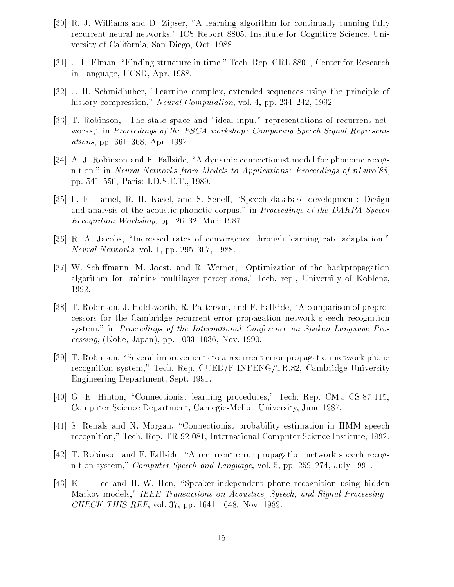- [30] R. J. Williams and D. Zipser, "A learning algorithm for continually running fully recurrent neural networks," ICS Report 8805, Institute for Cognitive Science, University of California, San Diego, Oct. 1988.
- [31] J. L. Elman, "Finding structure in time," Tech. Rep. CRL-8801, Center for Research in Language, UCSD, Apr. 1988.
- [32] J. H. Schmidhuber, "Learning complex, extended sequences using the principle of history compression," Neural Computation, vol. 4, pp.  $234-242$ , 1992.
- [33] T. Robinson, "The state space and "ideal input" representations of recurrent networks," in Proceedings of the ESCA workshop: Comparing Speech Signal Representations, pp. 361-368, Apr. 1992.
- [34] A. J. Robinson and F. Fallside, "A dynamic connectionist model for phoneme recognition," in Neural Networks from Models to Applications: Proceedings of nEuro'88, pp. 541-550, Paris: I.D.S.E.T., 1989.
- [35] L. F. Lamel, R. H. Kasel, and S. Seneff, "Speech database development: Design and analysis of the acoustic-phonetic corpus," in Proceedings of the DARPA Speech Recognition Workshop, pp. 26-32, Mar. 1987.
- [36] R. A. Jacobs, \Increased rates of convergence through learning rate adaptation," *Neural Networks*, vol. 1, pp. 295-307, 1988.
- [37] W. Schiffmann, M. Joost, and R. Werner, "Optimization of the backpropagation algorithm for training multilayer perceptrons," tech. rep., University of Koblenz, 1992.
- [38] T. Robinson, J. Holdsworth, R. Patterson, and F. Fallside, "A comparison of preprocessors for the Cambridge recurrent error propagation network speech recognition system," in Proceedings of the International Conference on Spoken Language Processing, (Kobe, Japan), pp. 1033–1036, Nov. 1990.
- [39] T. Robinson, "Several improvements to a recurrent error propagation network phone recognition system," Tech. Rep. CUED/F-INFENG/TR.82, Cambridge University Engineering Department, Sept. 1991.
- [40] G. E. Hinton, \Connectionist learning procedures," Tech. Rep. CMU-CS-87-115, Computer Science Department, Carnegie-Mellon University, June 1987.
- [41] S. Renals and N. Morgan, \Connectionist probability estimation in HMM speech recognition," Tech. Rep. TR-92-081, International Computer Science Institute, 1992.
- [42] T. Robinson and F. Fallside, \A recurrent error propagation network speech recognition system," Computer Speech and Language, vol. 5, pp. 259–274, July 1991.
- [43] K.-F. Lee and H.-W. Hon, "Speaker-independent phone recognition using hidden Markov models," IEEE Transactions on Acoustics, Speech, and Signal Processing -  $CHECK$  THIS REF, vol. 37, pp. 1641-1648, Nov. 1989.